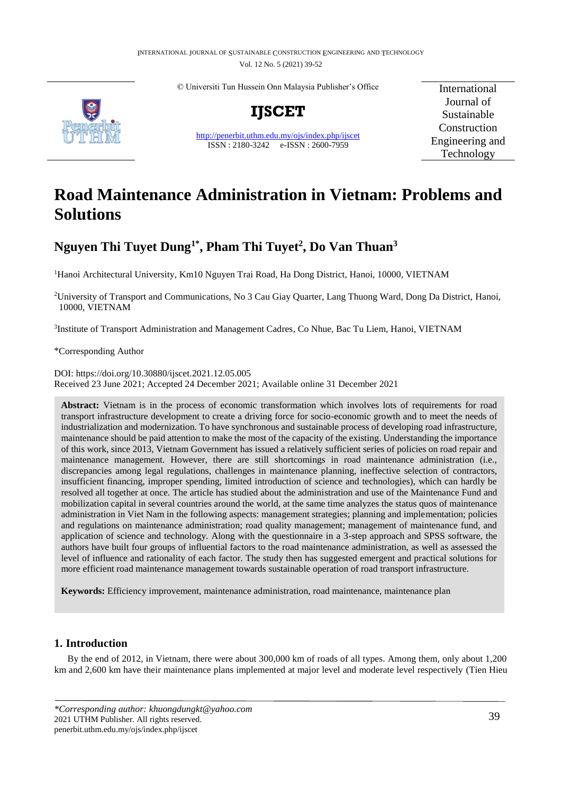© Universiti Tun Hussein Onn Malaysia Publisher's Office



**IJSCET**

<http://penerbit.uthm.edu.my/ojs/index.php/ijscet> ISSN : 2180-3242 e-ISSN : 2600-7959

International Journal of Sustainable Construction Engineering and Technology

# **Road Maintenance Administration in Vietnam: Problems and Solutions**

## **Nguyen Thi Tuyet Dung1\*, Pham Thi Tuyet<sup>2</sup> , Do Van Thuan<sup>3</sup>**

<sup>1</sup>Hanoi Architectural University, Km10 Nguyen Trai Road, Ha Dong District, Hanoi, 10000, VIETNAM

<sup>2</sup>University of Transport and Communications, No 3 Cau Giay Quarter, Lang Thuong Ward, Dong Da District, Hanoi, 10000, VIETNAM

<sup>3</sup>Institute of Transport Administration and Management Cadres, Co Nhue, Bac Tu Liem, Hanoi, VIETNAM

\*Corresponding Author

DOI: https://doi.org/10.30880/ijscet.2021.12.05.005 Received 23 June 2021; Accepted 24 December 2021; Available online 31 December 2021

**Abstract:** Vietnam is in the process of economic transformation which involves lots of requirements for road transport infrastructure development to create a driving force for socio-economic growth and to meet the needs of industrialization and modernization. To have synchronous and sustainable process of developing road infrastructure, maintenance should be paid attention to make the most of the capacity of the existing. Understanding the importance of this work, since 2013, Vietnam Government has issued a relatively sufficient series of policies on road repair and maintenance management. However, there are still shortcomings in road maintenance administration (i.e., discrepancies among legal regulations, challenges in maintenance planning, ineffective selection of contractors, insufficient financing, improper spending, limited introduction of science and technologies), which can hardly be resolved all together at once. The article has studied about the administration and use of the Maintenance Fund and mobilization capital in several countries around the world, at the same time analyzes the status quos of maintenance administration in Viet Nam in the following aspects: management strategies; planning and implementation; policies and regulations on maintenance administration; road quality management; management of maintenance fund, and application of science and technology. Along with the questionnaire in a 3-step approach and SPSS software, the authors have built four groups of influential factors to the road maintenance administration, as well as assessed the level of influence and rationality of each factor. The study then has suggested emergent and practical solutions for more efficient road maintenance management towards sustainable operation of road transport infrastructure.

**Keywords:** Efficiency improvement, maintenance administration, road maintenance, maintenance plan

## **1. Introduction**

By the end of 2012, in Vietnam, there were about 300,000 km of roads of all types. Among them, only about 1,200 km and 2,600 km have their maintenance plans implemented at major level and moderate level respectively (Tien Hieu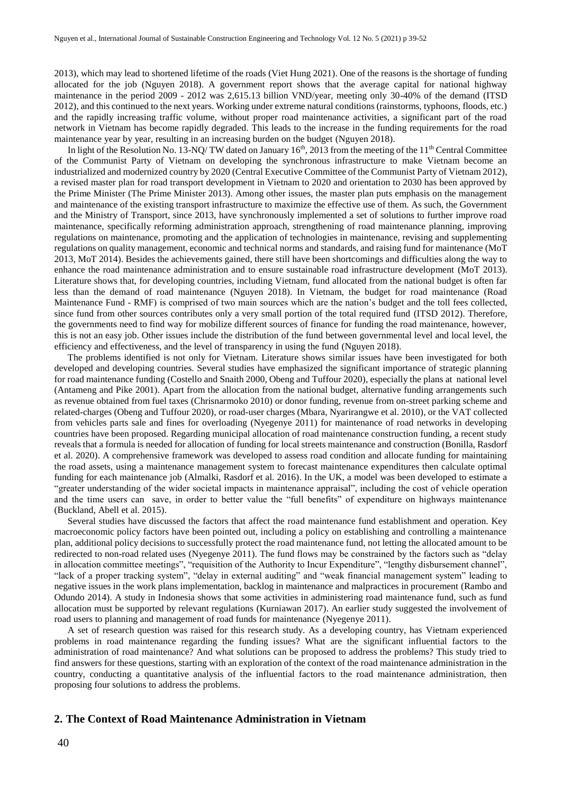2013), which may lead to shortened lifetime of the roads (Viet Hung 2021). One of the reasons is the shortage of funding allocated for the job (Nguyen 2018). A government report shows that the average capital for national highway maintenance in the period 2009 - 2012 was 2,615.13 billion VND/year, meeting only 30-40% of the demand (ITSD 2012), and this continued to the next years. Working under extreme natural conditions (rainstorms, typhoons, floods, etc.) and the rapidly increasing traffic volume, without proper road maintenance activities, a significant part of the road network in Vietnam has become rapidly degraded. This leads to the increase in the funding requirements for the road maintenance year by year, resulting in an increasing burden on the budget (Nguyen 2018).

In light of the Resolution No. 13-NQ/ TW dated on January  $16<sup>th</sup>$ , 2013 from the meeting of the  $11<sup>th</sup>$  Central Committee of the Communist Party of Vietnam on developing the synchronous infrastructure to make Vietnam become an industrialized and modernized country by 2020 (Central Executive Committee of the Communist Party of Vietnam 2012), a revised master plan for road transport development in Vietnam to 2020 and orientation to 2030 has been approved by the Prime Minister (The Prime Minister 2013). Among other issues, the master plan puts emphasis on the management and maintenance of the existing transport infrastructure to maximize the effective use of them. As such, the Government and the Ministry of Transport, since 2013, have synchronously implemented a set of solutions to further improve road maintenance, specifically reforming administration approach, strengthening of road maintenance planning, improving regulations on maintenance, promoting and the application of technologies in maintenance, revising and supplementing regulations on quality management, economic and technical norms and standards, and raising fund for maintenance (MoT 2013, MoT 2014). Besides the achievements gained, there still have been shortcomings and difficulties along the way to enhance the road maintenance administration and to ensure sustainable road infrastructure development (MoT 2013). Literature shows that, for developing countries, including Vietnam, fund allocated from the national budget is often far less than the demand of road maintenance (Nguyen 2018). In Vietnam, the budget for road maintenance (Road Maintenance Fund - RMF) is comprised of two main sources which are the nation's budget and the toll fees collected, since fund from other sources contributes only a very small portion of the total required fund (ITSD 2012). Therefore, the governments need to find way for mobilize different sources of finance for funding the road maintenance, however, this is not an easy job. Other issues include the distribution of the fund between governmental level and local level, the efficiency and effectiveness, and the level of transparency in using the fund (Nguyen 2018).

The problems identified is not only for Vietnam. Literature shows similar issues have been investigated for both developed and developing countries. Several studies have emphasized the significant importance of strategic planning for road maintenance funding (Costello and Snaith 2000, Obeng and Tuffour 2020), especially the plans at national level (Antameng and Pike 2001). Apart from the allocation from the national budget, alternative funding arrangements such as revenue obtained from fuel taxes (Chrisnarmoko 2010) or donor funding, revenue from on-street parking scheme and related-charges (Obeng and Tuffour 2020), or road-user charges (Mbara, Nyarirangwe et al. 2010), or the VAT collected from vehicles parts sale and fines for overloading (Nyegenye 2011) for maintenance of road networks in developing countries have been proposed. Regarding municipal allocation of road maintenance construction funding, a recent study reveals that a formula is needed for allocation of funding for local streets maintenance and construction (Bonilla, Rasdorf et al. 2020). A comprehensive framework was developed to assess road condition and allocate funding for maintaining the road assets, using a maintenance management system to forecast maintenance expenditures then calculate optimal funding for each maintenance job (Almalki, Rasdorf et al. 2016). In the UK, a model was been developed to estimate a "greater understanding of the wider societal impacts in maintenance appraisal", including the cost of vehicle operation and the time users can save, in order to better value the "full benefits" of expenditure on highways maintenance (Buckland, Abell et al. 2015).

Several studies have discussed the factors that affect the road maintenance fund establishment and operation. Key macroeconomic policy factors have been pointed out, including a policy on establishing and controlling a maintenance plan, additional policy decisions to successfully protect the road maintenance fund, not letting the allocated amount to be redirected to non-road related uses (Nyegenye 2011). The fund flows may be constrained by the factors such as "delay in allocation committee meetings", "requisition of the Authority to Incur Expenditure", "lengthy disbursement channel", "lack of a proper tracking system", "delay in external auditing" and "weak financial management system" leading to negative issues in the work plans implementation, backlog in maintenance and malpractices in procurement (Rambo and Odundo 2014). A study in Indonesia shows that some activities in administering road maintenance fund, such as fund allocation must be supported by relevant regulations (Kurniawan 2017). An earlier study suggested the involvement of road users to planning and management of road funds for maintenance (Nyegenye 2011).

A set of research question was raised for this research study. As a developing country, has Vietnam experienced problems in road maintenance regarding the funding issues? What are the significant influential factors to the administration of road maintenance? And what solutions can be proposed to address the problems? This study tried to find answers for these questions, starting with an exploration of the context of the road maintenance administration in the country, conducting a quantitative analysis of the influential factors to the road maintenance administration, then proposing four solutions to address the problems.

## **2. The Context of Road Maintenance Administration in Vietnam**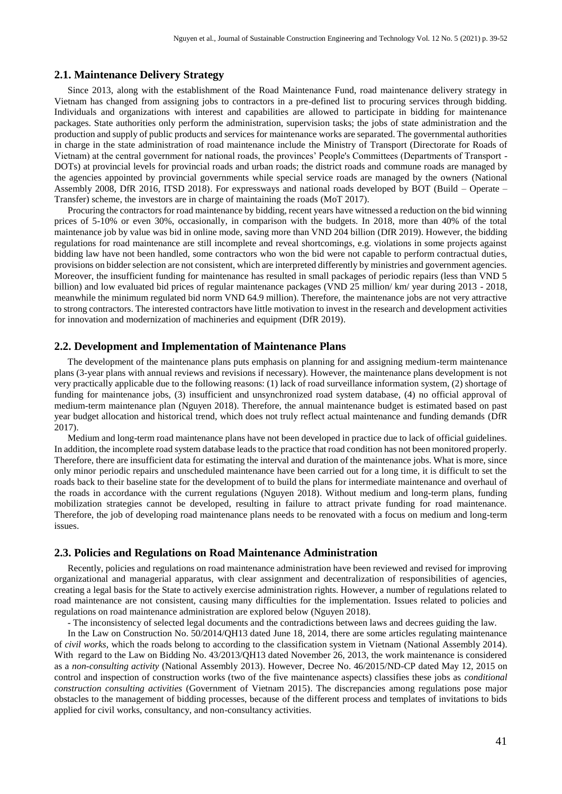## **2.1. Maintenance Delivery Strategy**

Since 2013, along with the establishment of the Road Maintenance Fund, road maintenance delivery strategy in Vietnam has changed from assigning jobs to contractors in a pre-defined list to procuring services through bidding. Individuals and organizations with interest and capabilities are allowed to participate in bidding for maintenance packages. State authorities only perform the administration, supervision tasks; the jobs of state administration and the production and supply of public products and services for maintenance works are separated. The governmental authorities in charge in the state administration of road maintenance include the Ministry of Transport (Directorate for Roads of Vietnam) at the central government for national roads, the provinces' People's Committees (Departments of Transport - DOTs) at provincial levels for provincial roads and urban roads; the district roads and commune roads are managed by the agencies appointed by provincial governments while special service roads are managed by the owners (National Assembly 2008, DfR 2016, ITSD 2018). For expressways and national roads developed by BOT (Build – Operate – Transfer) scheme, the investors are in charge of maintaining the roads (MoT 2017).

Procuring the contractors for road maintenance by bidding, recent years have witnessed a reduction on the bid winning prices of 5-10% or even 30%, occasionally, in comparison with the budgets. In 2018, more than 40% of the total maintenance job by value was bid in online mode, saving more than VND 204 billion (DfR 2019). However, the bidding regulations for road maintenance are still incomplete and reveal shortcomings, e.g. violations in some projects against bidding law have not been handled, some contractors who won the bid were not capable to perform contractual duties, provisions on bidder selection are not consistent, which are interpreted differently by ministries and government agencies. Moreover, the insufficient funding for maintenance has resulted in small packages of periodic repairs (less than VND 5 billion) and low evaluated bid prices of regular maintenance packages (VND 25 million/ km/ year during 2013 - 2018, meanwhile the minimum regulated bid norm VND 64.9 million). Therefore, the maintenance jobs are not very attractive to strong contractors. The interested contractors have little motivation to invest in the research and development activities for innovation and modernization of machineries and equipment (DfR 2019).

#### **2.2. Development and Implementation of Maintenance Plans**

The development of the maintenance plans puts emphasis on planning for and assigning medium-term maintenance plans (3-year plans with annual reviews and revisions if necessary). However, the maintenance plans development is not very practically applicable due to the following reasons: (1) lack of road surveillance information system, (2) shortage of funding for maintenance jobs, (3) insufficient and unsynchronized road system database, (4) no official approval of medium-term maintenance plan (Nguyen 2018). Therefore, the annual maintenance budget is estimated based on past year budget allocation and historical trend, which does not truly reflect actual maintenance and funding demands (DfR 2017).

Medium and long-term road maintenance plans have not been developed in practice due to lack of official guidelines. In addition, the incomplete road system database leads to the practice that road condition has not been monitored properly. Therefore, there are insufficient data for estimating the interval and duration of the maintenance jobs. What is more, since only minor periodic repairs and unscheduled maintenance have been carried out for a long time, it is difficult to set the roads back to their baseline state for the development of to build the plans for intermediate maintenance and overhaul of the roads in accordance with the current regulations (Nguyen 2018). Without medium and long-term plans, funding mobilization strategies cannot be developed, resulting in failure to attract private funding for road maintenance. Therefore, the job of developing road maintenance plans needs to be renovated with a focus on medium and long-term issues.

#### **2.3. Policies and Regulations on Road Maintenance Administration**

Recently, policies and regulations on road maintenance administration have been reviewed and revised for improving organizational and managerial apparatus, with clear assignment and decentralization of responsibilities of agencies, creating a legal basis for the State to actively exercise administration rights. However, a number of regulations related to road maintenance are not consistent, causing many difficulties for the implementation. Issues related to policies and regulations on road maintenance administration are explored below (Nguyen 2018).

- The inconsistency of selected legal documents and the contradictions between laws and decrees guiding the law.

In the Law on Construction No. 50/2014/QH13 dated June 18, 2014, there are some articles regulating maintenance of *civil works*, which the roads belong to according to the classification system in Vietnam (National Assembly 2014). With regard to the Law on Bidding No. 43/2013/QH13 dated November 26, 2013, the work maintenance is considered as a *non-consulting activity* (National Assembly 2013). However, Decree No. 46/2015/ND-CP dated May 12, 2015 on control and inspection of construction works (two of the five maintenance aspects) classifies these jobs as *conditional construction consulting activities* (Government of Vietnam 2015). The discrepancies among regulations pose major obstacles to the management of bidding processes, because of the different process and templates of invitations to bids applied for civil works, consultancy, and non-consultancy activities.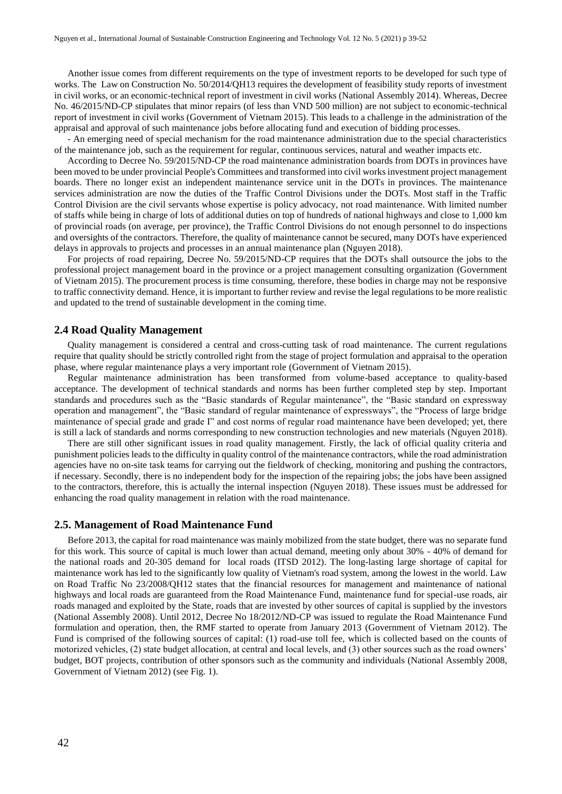Another issue comes from different requirements on the type of investment reports to be developed for such type of works. The Law on Construction No. 50/2014/QH13 requires the development of feasibility study reports of investment in civil works, or an economic-technical report of investment in civil works (National Assembly 2014). Whereas, Decree No. 46/2015/ND-CP stipulates that minor repairs (of less than VND 500 million) are not subject to economic-technical report of investment in civil works (Government of Vietnam 2015). This leads to a challenge in the administration of the appraisal and approval of such maintenance jobs before allocating fund and execution of bidding processes.

- An emerging need of special mechanism for the road maintenance administration due to the special characteristics of the maintenance job, such as the requirement for regular, continuous services, natural and weather impacts etc.

According to Decree No. 59/2015/ND-CP the road maintenance administration boards from DOTs in provinces have been moved to be under provincial People's Committees and transformed into civil works investment project management boards. There no longer exist an independent maintenance service unit in the DOTs in provinces. The maintenance services administration are now the duties of the Traffic Control Divisions under the DOTs. Most staff in the Traffic Control Division are the civil servants whose expertise is policy advocacy, not road maintenance. With limited number of staffs while being in charge of lots of additional duties on top of hundreds of national highways and close to 1,000 km of provincial roads (on average, per province), the Traffic Control Divisions do not enough personnel to do inspections and oversights of the contractors. Therefore, the quality of maintenance cannot be secured, many DOTs have experienced delays in approvals to projects and processes in an annual maintenance plan (Nguyen 2018).

For projects of road repairing, Decree No. 59/2015/ND-CP requires that the DOTs shall outsource the jobs to the professional project management board in the province or a project management consulting organization (Government of Vietnam 2015). The procurement process is time consuming, therefore, these bodies in charge may not be responsive to traffic connectivity demand. Hence, it is important to further review and revise the legal regulations to be more realistic and updated to the trend of sustainable development in the coming time.

## **2.4 Road Quality Management**

Quality management is considered a central and cross-cutting task of road maintenance. The current regulations require that quality should be strictly controlled right from the stage of project formulation and appraisal to the operation phase, where regular maintenance plays a very important role (Government of Vietnam 2015).

Regular maintenance administration has been transformed from volume-based acceptance to quality-based acceptance. The development of technical standards and norms has been further completed step by step. Important standards and procedures such as the "Basic standards of Regular maintenance", the "Basic standard on expressway operation and management", the "Basic standard of regular maintenance of expressways", the "Process of large bridge maintenance of special grade and grade I" and cost norms of regular road maintenance have been developed; yet, there is still a lack of standards and norms corresponding to new construction technologies and new materials (Nguyen 2018).

There are still other significant issues in road quality management. Firstly, the lack of official quality criteria and punishment policies leads to the difficulty in quality control of the maintenance contractors, while the road administration agencies have no on-site task teams for carrying out the fieldwork of checking, monitoring and pushing the contractors, if necessary. Secondly, there is no independent body for the inspection of the repairing jobs; the jobs have been assigned to the contractors, therefore, this is actually the internal inspection (Nguyen 2018). These issues must be addressed for enhancing the road quality management in relation with the road maintenance.

#### **2.5. Management of Road Maintenance Fund**

Before 2013, the capital for road maintenance was mainly mobilized from the state budget, there was no separate fund for this work. This source of capital is much lower than actual demand, meeting only about 30% - 40% of demand for the national roads and 20-305 demand for local roads (ITSD 2012). The long-lasting large shortage of capital for maintenance work has led to the significantly low quality of Vietnam's road system, among the lowest in the world. Law on Road Traffic No 23/2008/QH12 states that the financial resources for management and maintenance of national highways and local roads are guaranteed from the Road Maintenance Fund, maintenance fund for special-use roads, air roads managed and exploited by the State, roads that are invested by other sources of capital is supplied by the investors (National Assembly 2008). Until 2012, Decree No 18/2012/ND-CP was issued to regulate the Road Maintenance Fund formulation and operation, then, the RMF started to operate from January 2013 (Government of Vietnam 2012). The Fund is comprised of the following sources of capital: (1) road-use toll fee, which is collected based on the counts of motorized vehicles, (2) state budget allocation, at central and local levels, and (3) other sources such as the road owners' budget, BOT projects, contribution of other sponsors such as the community and individuals (National Assembly 2008, Government of Vietnam 2012) (see Fig. 1).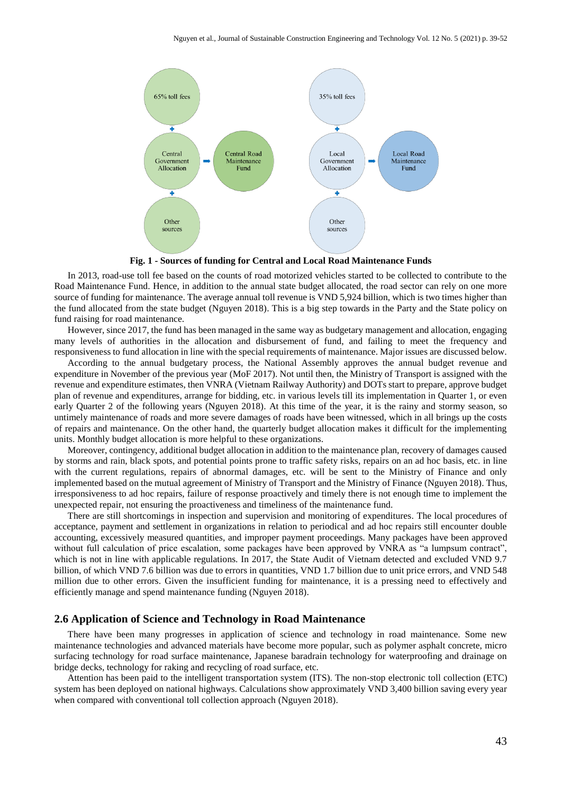

**Fig. 1 - Sources of funding for Central and Local Road Maintenance Funds**

In 2013, road-use toll fee based on the counts of road motorized vehicles started to be collected to contribute to the Road Maintenance Fund. Hence, in addition to the annual state budget allocated, the road sector can rely on one more source of funding for maintenance. The average annual toll revenue is VND 5,924 billion, which is two times higher than the fund allocated from the state budget (Nguyen 2018). This is a big step towards in the Party and the State policy on fund raising for road maintenance.

However, since 2017, the fund has been managed in the same way as budgetary management and allocation, engaging many levels of authorities in the allocation and disbursement of fund, and failing to meet the frequency and responsiveness to fund allocation in line with the special requirements of maintenance. Major issues are discussed below.

According to the annual budgetary process, the National Assembly approves the annual budget revenue and expenditure in November of the previous year (MoF 2017). Not until then, the Ministry of Transport is assigned with the revenue and expenditure estimates, then VNRA (Vietnam Railway Authority) and DOTs start to prepare, approve budget plan of revenue and expenditures, arrange for bidding, etc. in various levels till its implementation in Quarter 1, or even early Quarter 2 of the following years (Nguyen 2018). At this time of the year, it is the rainy and stormy season, so untimely maintenance of roads and more severe damages of roads have been witnessed, which in all brings up the costs of repairs and maintenance. On the other hand, the quarterly budget allocation makes it difficult for the implementing units. Monthly budget allocation is more helpful to these organizations.

Moreover, contingency, additional budget allocation in addition to the maintenance plan, recovery of damages caused by storms and rain, black spots, and potential points prone to traffic safety risks, repairs on an ad hoc basis, etc. in line with the current regulations, repairs of abnormal damages, etc. will be sent to the Ministry of Finance and only implemented based on the mutual agreement of Ministry of Transport and the Ministry of Finance (Nguyen 2018). Thus, irresponsiveness to ad hoc repairs, failure of response proactively and timely there is not enough time to implement the unexpected repair, not ensuring the proactiveness and timeliness of the maintenance fund.

There are still shortcomings in inspection and supervision and monitoring of expenditures. The local procedures of acceptance, payment and settlement in organizations in relation to periodical and ad hoc repairs still encounter double accounting, excessively measured quantities, and improper payment proceedings. Many packages have been approved without full calculation of price escalation, some packages have been approved by VNRA as "a lumpsum contract", which is not in line with applicable regulations. In 2017, the State Audit of Vietnam detected and excluded VND 9.7 billion, of which VND 7.6 billion was due to errors in quantities, VND 1.7 billion due to unit price errors, and VND 548 million due to other errors. Given the insufficient funding for maintenance, it is a pressing need to effectively and efficiently manage and spend maintenance funding (Nguyen 2018).

## **2.6 Application of Science and Technology in Road Maintenance**

There have been many progresses in application of science and technology in road maintenance. Some new maintenance technologies and advanced materials have become more popular, such as polymer asphalt concrete, micro surfacing technology for road surface maintenance, Japanese baradrain technology for waterproofing and drainage on bridge decks, technology for raking and recycling of road surface, etc.

Attention has been paid to the intelligent transportation system (ITS). The non-stop electronic toll collection (ETC) system has been deployed on national highways. Calculations show approximately VND 3,400 billion saving every year when compared with conventional toll collection approach (Nguyen 2018).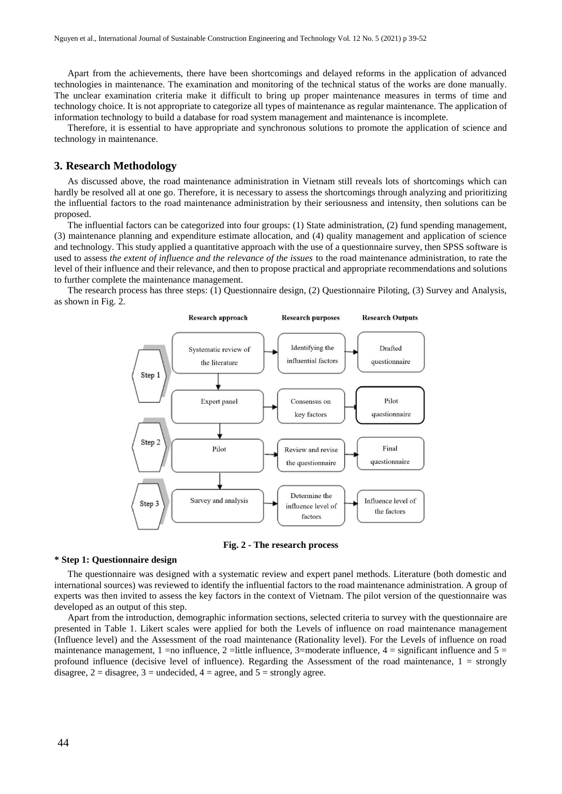Apart from the achievements, there have been shortcomings and delayed reforms in the application of advanced technologies in maintenance. The examination and monitoring of the technical status of the works are done manually. The unclear examination criteria make it difficult to bring up proper maintenance measures in terms of time and technology choice. It is not appropriate to categorize all types of maintenance as regular maintenance. The application of information technology to build a database for road system management and maintenance is incomplete.

Therefore, it is essential to have appropriate and synchronous solutions to promote the application of science and technology in maintenance.

#### **3. Research Methodology**

As discussed above, the road maintenance administration in Vietnam still reveals lots of shortcomings which can hardly be resolved all at one go. Therefore, it is necessary to assess the shortcomings through analyzing and prioritizing the influential factors to the road maintenance administration by their seriousness and intensity, then solutions can be proposed.

The influential factors can be categorized into four groups: (1) State administration, (2) fund spending management, (3) maintenance planning and expenditure estimate allocation, and (4) quality management and application of science and technology. This study applied a quantitative approach with the use of a questionnaire survey, then SPSS software is used to assess *the extent of influence and the relevance of the issues* to the road maintenance administration, to rate the level of their influence and their relevance, and then to propose practical and appropriate recommendations and solutions to further complete the maintenance management.

The research process has three steps: (1) Questionnaire design, (2) Questionnaire Piloting, (3) Survey and Analysis, as shown in Fig. 2.



**Fig. 2 - The research process**

#### **\* Step 1: Questionnaire design**

The questionnaire was designed with a systematic review and expert panel methods. Literature (both domestic and international sources) was reviewed to identify the influential factors to the road maintenance administration. A group of experts was then invited to assess the key factors in the context of Vietnam. The pilot version of the questionnaire was developed as an output of this step.

Apart from the introduction, demographic information sections, selected criteria to survey with the questionnaire are presented in Table 1. Likert scales were applied for both the Levels of influence on road maintenance management (Influence level) and the Assessment of the road maintenance (Rationality level). For the Levels of influence on road maintenance management,  $1 = no$  influence,  $2 =$ little influence,  $3 =$ moderate influence,  $4 =$  significant influence and  $5 =$ profound influence (decisive level of influence). Regarding the Assessment of the road maintenance,  $1 =$  strongly disagree,  $2 =$  disagree,  $3 =$  undecided,  $4 =$  agree, and  $5 =$  strongly agree.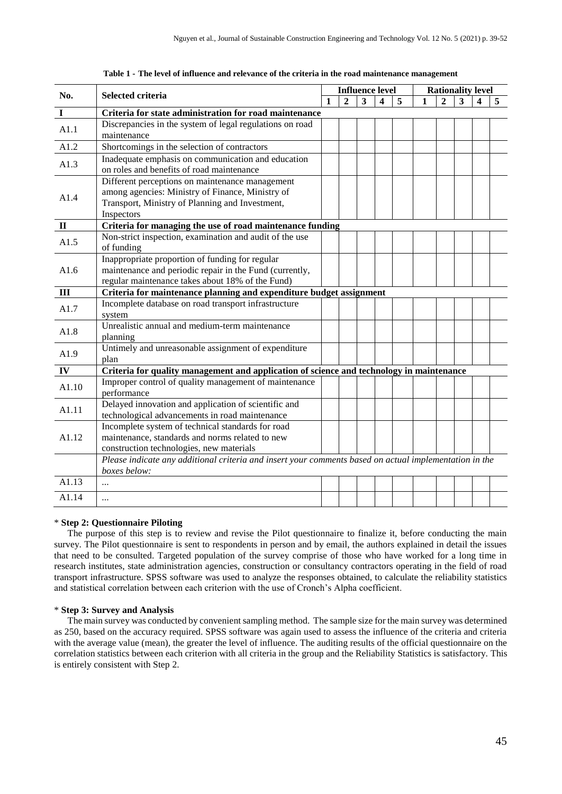| No.            | <b>Selected criteria</b>                                                                               |   |              | <b>Influence level</b> |   |   |  |              | <b>Rationality level</b> |  |  |  |  |
|----------------|--------------------------------------------------------------------------------------------------------|---|--------------|------------------------|---|---|--|--------------|--------------------------|--|--|--|--|
|                |                                                                                                        | 1 | $\mathbf{2}$ | 3                      | 4 | 5 |  | $\mathbf{2}$ | 3                        |  |  |  |  |
| I              | Criteria for state administration for road maintenance                                                 |   |              |                        |   |   |  |              |                          |  |  |  |  |
| A1.1           | Discrepancies in the system of legal regulations on road                                               |   |              |                        |   |   |  |              |                          |  |  |  |  |
|                | maintenance                                                                                            |   |              |                        |   |   |  |              |                          |  |  |  |  |
| A1.2           | Shortcomings in the selection of contractors                                                           |   |              |                        |   |   |  |              |                          |  |  |  |  |
| A1.3           | Inadequate emphasis on communication and education                                                     |   |              |                        |   |   |  |              |                          |  |  |  |  |
|                | on roles and benefits of road maintenance                                                              |   |              |                        |   |   |  |              |                          |  |  |  |  |
|                | Different perceptions on maintenance management                                                        |   |              |                        |   |   |  |              |                          |  |  |  |  |
| A1.4           | among agencies: Ministry of Finance, Ministry of                                                       |   |              |                        |   |   |  |              |                          |  |  |  |  |
|                | Transport, Ministry of Planning and Investment,                                                        |   |              |                        |   |   |  |              |                          |  |  |  |  |
|                | Inspectors                                                                                             |   |              |                        |   |   |  |              |                          |  |  |  |  |
| $\mathbf{I}$   | Criteria for managing the use of road maintenance funding                                              |   |              |                        |   |   |  |              |                          |  |  |  |  |
| A1.5           | Non-strict inspection, examination and audit of the use                                                |   |              |                        |   |   |  |              |                          |  |  |  |  |
|                | of funding                                                                                             |   |              |                        |   |   |  |              |                          |  |  |  |  |
|                | Inappropriate proportion of funding for regular                                                        |   |              |                        |   |   |  |              |                          |  |  |  |  |
| A1.6           | maintenance and periodic repair in the Fund (currently,                                                |   |              |                        |   |   |  |              |                          |  |  |  |  |
|                | regular maintenance takes about 18% of the Fund)                                                       |   |              |                        |   |   |  |              |                          |  |  |  |  |
| $\mathbf{III}$ | Criteria for maintenance planning and expenditure budget assignment                                    |   |              |                        |   |   |  |              |                          |  |  |  |  |
| A1.7           | Incomplete database on road transport infrastructure                                                   |   |              |                        |   |   |  |              |                          |  |  |  |  |
|                | system                                                                                                 |   |              |                        |   |   |  |              |                          |  |  |  |  |
| A1.8           | Unrealistic annual and medium-term maintenance                                                         |   |              |                        |   |   |  |              |                          |  |  |  |  |
|                | planning                                                                                               |   |              |                        |   |   |  |              |                          |  |  |  |  |
| A1.9           | Untimely and unreasonable assignment of expenditure                                                    |   |              |                        |   |   |  |              |                          |  |  |  |  |
|                | plan                                                                                                   |   |              |                        |   |   |  |              |                          |  |  |  |  |
| IV             | Criteria for quality management and application of science and technology in maintenance               |   |              |                        |   |   |  |              |                          |  |  |  |  |
| A1.10          | Improper control of quality management of maintenance                                                  |   |              |                        |   |   |  |              |                          |  |  |  |  |
|                | performance                                                                                            |   |              |                        |   |   |  |              |                          |  |  |  |  |
| A1.11          | Delayed innovation and application of scientific and                                                   |   |              |                        |   |   |  |              |                          |  |  |  |  |
|                | technological advancements in road maintenance                                                         |   |              |                        |   |   |  |              |                          |  |  |  |  |
| A1.12          | Incomplete system of technical standards for road                                                      |   |              |                        |   |   |  |              |                          |  |  |  |  |
|                | maintenance, standards and norms related to new                                                        |   |              |                        |   |   |  |              |                          |  |  |  |  |
|                | construction technologies, new materials                                                               |   |              |                        |   |   |  |              |                          |  |  |  |  |
|                | Please indicate any additional criteria and insert your comments based on actual implementation in the |   |              |                        |   |   |  |              |                          |  |  |  |  |
|                | boxes below:                                                                                           |   |              |                        |   |   |  |              |                          |  |  |  |  |
| A1.13          | $\ddotsc$                                                                                              |   |              |                        |   |   |  |              |                          |  |  |  |  |
| A1.14          |                                                                                                        |   |              |                        |   |   |  |              |                          |  |  |  |  |
|                |                                                                                                        |   |              |                        |   |   |  |              |                          |  |  |  |  |

#### **Table 1 - The level of influence and relevance of the criteria in the road maintenance management**

#### \* **Step 2: Questionnaire Piloting**

The purpose of this step is to review and revise the Pilot questionnaire to finalize it, before conducting the main survey. The Pilot questionnaire is sent to respondents in person and by email, the authors explained in detail the issues that need to be consulted. Targeted population of the survey comprise of those who have worked for a long time in research institutes, state administration agencies, construction or consultancy contractors operating in the field of road transport infrastructure. SPSS software was used to analyze the responses obtained, to calculate the reliability statistics and statistical correlation between each criterion with the use of Cronch's Alpha coefficient.

## \* **Step 3: Survey and Analysis**

The main survey was conducted by convenient sampling method. The sample size for the main survey was determined as 250, based on the accuracy required. SPSS software was again used to assess the influence of the criteria and criteria with the average value (mean), the greater the level of influence. The auditing results of the official questionnaire on the correlation statistics between each criterion with all criteria in the group and the Reliability Statistics is satisfactory. This is entirely consistent with Step 2.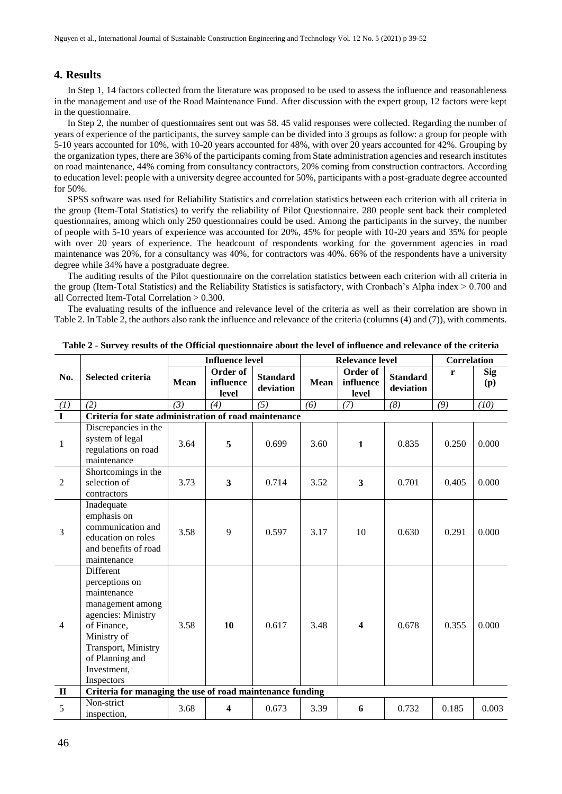## **4. Results**

In Step 1, 14 factors collected from the literature was proposed to be used to assess the influence and reasonableness in the management and use of the Road Maintenance Fund. After discussion with the expert group, 12 factors were kept in the questionnaire.

In Step 2, the number of questionnaires sent out was 58. 45 valid responses were collected. Regarding the number of years of experience of the participants, the survey sample can be divided into 3 groups as follow: a group for people with 5-10 years accounted for 10%, with 10-20 years accounted for 48%, with over 20 years accounted for 42%. Grouping by the organization types, there are 36% of the participants coming from State administration agencies and research institutes on road maintenance, 44% coming from consultancy contractors, 20% coming from construction contractors. According to education level: people with a university degree accounted for 50%, participants with a post-graduate degree accounted for 50%.

SPSS software was used for Reliability Statistics and correlation statistics between each criterion with all criteria in the group (Item-Total Statistics) to verify the reliability of Pilot Questionnaire. 280 people sent back their completed questionnaires, among which only 250 questionnaires could be used. Among the participants in the survey, the number of people with 5-10 years of experience was accounted for 20%, 45% for people with 10-20 years and 35% for people with over 20 years of experience. The headcount of respondents working for the government agencies in road maintenance was 20%, for a consultancy was 40%, for contractors was 40%. 66% of the respondents have a university degree while 34% have a postgraduate degree.

The auditing results of the Pilot questionnaire on the correlation statistics between each criterion with all criteria in the group (Item-Total Statistics) and the Reliability Statistics is satisfactory, with Cronbach's Alpha index > 0.700 and all Corrected Item-Total Correlation > 0.300.

The evaluating results of the influence and relevance level of the criteria as well as their correlation are shown in Table 2. In Table 2, the authors also rank the influence and relevance of the criteria (columns (4) and (7)), with comments.

|                 |                                                                                                                                                                                                  | <b>Influence level</b> |                                |                              |                                               | <b>Relevance level</b> | <b>Correlation</b>                |       |            |
|-----------------|--------------------------------------------------------------------------------------------------------------------------------------------------------------------------------------------------|------------------------|--------------------------------|------------------------------|-----------------------------------------------|------------------------|-----------------------------------|-------|------------|
| No.             | <b>Selected criteria</b>                                                                                                                                                                         | <b>Mean</b>            | Order of<br>influence<br>level | <b>Standard</b><br>deviation | Order of<br><b>Mean</b><br>influence<br>level |                        | r<br><b>Standard</b><br>deviation |       | Sig<br>(p) |
| $\frac{(1)}{1}$ | (2)                                                                                                                                                                                              | (3)                    | (4)                            | (5)                          | (6)                                           | (7)                    | (8)                               | (9)   | (10)       |
|                 | Criteria for state administration of road maintenance                                                                                                                                            |                        |                                |                              |                                               |                        |                                   |       |            |
| $\mathbf 1$     | Discrepancies in the<br>system of legal<br>regulations on road<br>maintenance                                                                                                                    | 3.64                   | 5                              | 0.699                        | 3.60                                          | $\mathbf{1}$           | 0.835                             | 0.250 | 0.000      |
| $\overline{2}$  | Shortcomings in the<br>selection of<br>contractors                                                                                                                                               | 3.73                   | 3                              | 0.714                        | 3.52                                          | 3                      | 0.701                             | 0.405 | 0.000      |
| $\overline{3}$  | Inadequate<br>emphasis on<br>communication and<br>education on roles<br>and benefits of road<br>maintenance                                                                                      | 3.58                   | 9                              | 0.597                        | 3.17                                          | 10                     | 0.630                             | 0.291 | 0.000      |
| $\overline{4}$  | <b>Different</b><br>perceptions on<br>maintenance<br>management among<br>agencies: Ministry<br>of Finance,<br>Ministry of<br>Transport, Ministry<br>of Planning and<br>Investment,<br>Inspectors | 3.58                   | 10                             | 0.617                        | 3.48                                          | $\boldsymbol{4}$       | 0.678                             | 0.355 | 0.000      |
| $\mathbf{I}$    | Criteria for managing the use of road maintenance funding                                                                                                                                        |                        |                                |                              |                                               |                        |                                   |       |            |
| 5               | Non-strict<br>inspection,                                                                                                                                                                        | 3.68                   | $\overline{\mathbf{4}}$        | 0.673                        | 3.39                                          | 6                      | 0.732                             | 0.185 | 0.003      |

**Table 2 - Survey results of the Official questionnaire about the level of influence and relevance of the criteria**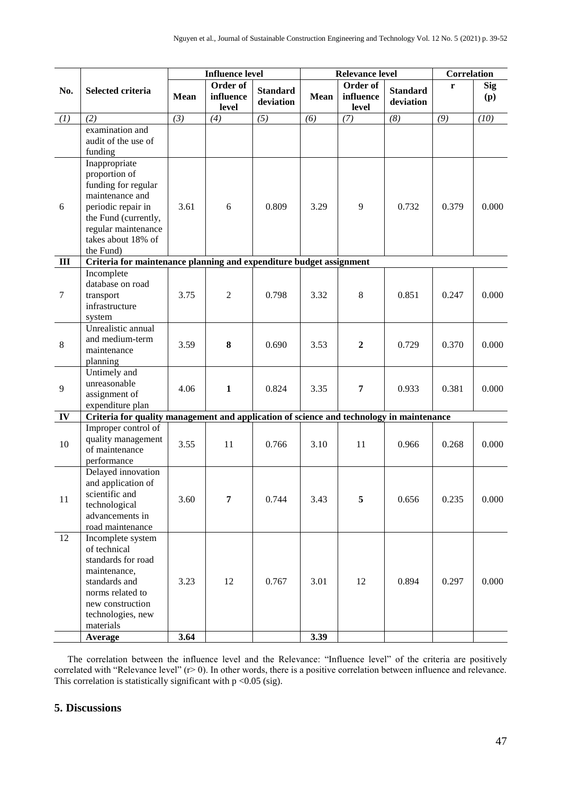|                  |                                                                                                                                                                                  | <b>Influence level</b> |                                |                              |             | <b>Relevance level</b>         | Correlation                  |       |                   |
|------------------|----------------------------------------------------------------------------------------------------------------------------------------------------------------------------------|------------------------|--------------------------------|------------------------------|-------------|--------------------------------|------------------------------|-------|-------------------|
| No.              | Selected criteria                                                                                                                                                                | <b>Mean</b>            | Order of<br>influence<br>level | <b>Standard</b><br>deviation | <b>Mean</b> | Order of<br>influence<br>level | <b>Standard</b><br>deviation | r     | <b>Sig</b><br>(p) |
| (1)              | (2)                                                                                                                                                                              | (3)                    | (4)                            | (5)                          | (6)         | (7)                            | (8)                          | (9)   | (10)              |
|                  | examination and<br>audit of the use of<br>funding                                                                                                                                |                        |                                |                              |             |                                |                              |       |                   |
| 6                | Inappropriate<br>proportion of<br>funding for regular<br>maintenance and<br>periodic repair in<br>the Fund (currently,<br>regular maintenance<br>takes about 18% of<br>the Fund) | 3.61                   | 6                              | 0.809                        | 3.29        | 9                              | 0.732                        | 0.379 | 0.000             |
| $\mathbf{III}$   | Criteria for maintenance planning and expenditure budget assignment                                                                                                              |                        |                                |                              |             |                                |                              |       |                   |
| $\boldsymbol{7}$ | Incomplete<br>database on road<br>transport<br>infrastructure<br>system                                                                                                          | 3.75                   | $\overline{2}$                 | 0.798                        | 3.32        | 8                              | 0.851                        | 0.247 | 0.000             |
| $\,8\,$          | Unrealistic annual<br>and medium-term<br>maintenance<br>planning                                                                                                                 | 3.59                   | 8                              | 0.690                        | 3.53        | $\boldsymbol{2}$               | 0.729                        | 0.370 | 0.000             |
| 9                | Untimely and<br>unreasonable<br>assignment of<br>expenditure plan                                                                                                                | 4.06                   | $\mathbf{1}$                   | 0.824                        | 3.35        | $\overline{7}$                 | 0.933                        | 0.381 | 0.000             |
| IV               | Criteria for quality management and application of science and technology in maintenance                                                                                         |                        |                                |                              |             |                                |                              |       |                   |
| 10               | Improper control of<br>quality management<br>of maintenance<br>performance                                                                                                       | 3.55                   | 11                             | 0.766                        | 3.10        | 11                             | 0.966                        | 0.268 | 0.000             |
| 11               | Delayed innovation<br>and application of<br>scientific and<br>technological<br>advancements in<br>road maintenance                                                               | 3.60                   | $\overline{7}$                 | 0.744                        | 3.43        | 5                              | 0.656                        | 0.235 | 0.000             |
| $\overline{12}$  | Incomplete system<br>of technical<br>standards for road<br>maintenance,<br>standards and<br>norms related to<br>new construction<br>technologies, new<br>materials               | 3.23                   | 12                             | 0.767                        | 3.01        | 12                             | 0.894                        | 0.297 | 0.000             |
|                  | Average                                                                                                                                                                          | 3.64                   |                                |                              | 3.39        |                                |                              |       |                   |

The correlation between the influence level and the Relevance: "Influence level" of the criteria are positively correlated with "Relevance level" (r> 0). In other words, there is a positive correlation between influence and relevance. This correlation is statistically significant with  $p < 0.05$  (sig).

## **5. Discussions**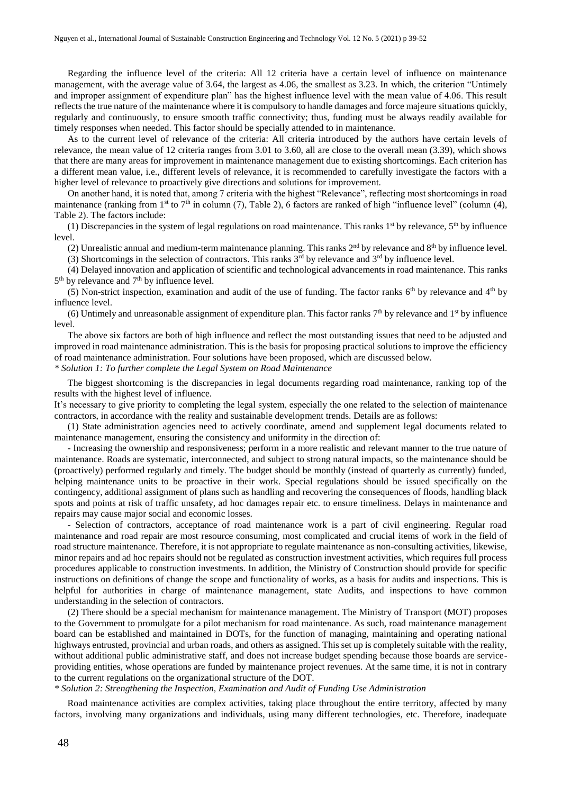Regarding the influence level of the criteria: All 12 criteria have a certain level of influence on maintenance management, with the average value of 3.64, the largest as 4.06, the smallest as 3.23. In which, the criterion "Untimely and improper assignment of expenditure plan" has the highest influence level with the mean value of 4.06. This result reflects the true nature of the maintenance where it is compulsory to handle damages and force majeure situations quickly, regularly and continuously, to ensure smooth traffic connectivity; thus, funding must be always readily available for timely responses when needed. This factor should be specially attended to in maintenance.

As to the current level of relevance of the criteria: All criteria introduced by the authors have certain levels of relevance, the mean value of 12 criteria ranges from 3.01 to 3.60, all are close to the overall mean (3.39), which shows that there are many areas for improvement in maintenance management due to existing shortcomings. Each criterion has a different mean value, i.e., different levels of relevance, it is recommended to carefully investigate the factors with a higher level of relevance to proactively give directions and solutions for improvement.

On another hand, it is noted that, among 7 criteria with the highest "Relevance", reflecting most shortcomings in road maintenance (ranking from 1<sup>st</sup> to 7<sup>th</sup> in column (7), Table 2), 6 factors are ranked of high "influence level" (column (4), Table 2). The factors include:

(1) Discrepancies in the system of legal regulations on road maintenance. This ranks  $1<sup>st</sup>$  by relevance,  $5<sup>th</sup>$  by influence level.

(2) Unrealistic annual and medium-term maintenance planning. This ranks  $2^{nd}$  by relevance and  $8^{th}$  by influence level.

 $(3)$  Shortcomings in the selection of contractors. This ranks  $3<sup>rd</sup>$  by relevance and  $3<sup>rd</sup>$  by influence level.

(4) Delayed innovation and application of scientific and technological advancements in road maintenance. This ranks 5<sup>th</sup> by relevance and 7<sup>th</sup> by influence level.

(5) Non-strict inspection, examination and audit of the use of funding. The factor ranks  $6<sup>th</sup>$  by relevance and  $4<sup>th</sup>$  by influence level.

(6) Untimely and unreasonable assignment of expenditure plan. This factor ranks  $7<sup>th</sup>$  by relevance and  $1<sup>st</sup>$  by influence level.

The above six factors are both of high influence and reflect the most outstanding issues that need to be adjusted and improved in road maintenance administration. This is the basis for proposing practical solutions to improve the efficiency of road maintenance administration. Four solutions have been proposed, which are discussed below.

*\* Solution 1: To further complete the Legal System on Road Maintenance*

The biggest shortcoming is the discrepancies in legal documents regarding road maintenance, ranking top of the results with the highest level of influence.

It's necessary to give priority to completing the legal system, especially the one related to the selection of maintenance contractors, in accordance with the reality and sustainable development trends. Details are as follows:

(1) State administration agencies need to actively coordinate, amend and supplement legal documents related to maintenance management, ensuring the consistency and uniformity in the direction of:

- Increasing the ownership and responsiveness; perform in a more realistic and relevant manner to the true nature of maintenance. Roads are systematic, interconnected, and subject to strong natural impacts, so the maintenance should be (proactively) performed regularly and timely. The budget should be monthly (instead of quarterly as currently) funded, helping maintenance units to be proactive in their work. Special regulations should be issued specifically on the contingency, additional assignment of plans such as handling and recovering the consequences of floods, handling black spots and points at risk of traffic unsafety, ad hoc damages repair etc. to ensure timeliness. Delays in maintenance and repairs may cause major social and economic losses.

- Selection of contractors, acceptance of road maintenance work is a part of civil engineering. Regular road maintenance and road repair are most resource consuming, most complicated and crucial items of work in the field of road structure maintenance. Therefore, it is not appropriate to regulate maintenance as non-consulting activities, likewise, minor repairs and ad hoc repairs should not be regulated as construction investment activities, which requires full process procedures applicable to construction investments. In addition, the Ministry of Construction should provide for specific instructions on definitions of change the scope and functionality of works, as a basis for audits and inspections. This is helpful for authorities in charge of maintenance management, state Audits, and inspections to have common understanding in the selection of contractors.

(2) There should be a special mechanism for maintenance management. The Ministry of Transport (MOT) proposes to the Government to promulgate for a pilot mechanism for road maintenance. As such, road maintenance management board can be established and maintained in DOTs, for the function of managing, maintaining and operating national highways entrusted, provincial and urban roads, and others as assigned. This set up is completely suitable with the reality, without additional public administrative staff, and does not increase budget spending because those boards are serviceproviding entities, whose operations are funded by maintenance project revenues. At the same time, it is not in contrary to the current regulations on the organizational structure of the DOT.

*\* Solution 2: Strengthening the Inspection, Examination and Audit of Funding Use Administration*

Road maintenance activities are complex activities, taking place throughout the entire territory, affected by many factors, involving many organizations and individuals, using many different technologies, etc. Therefore, inadequate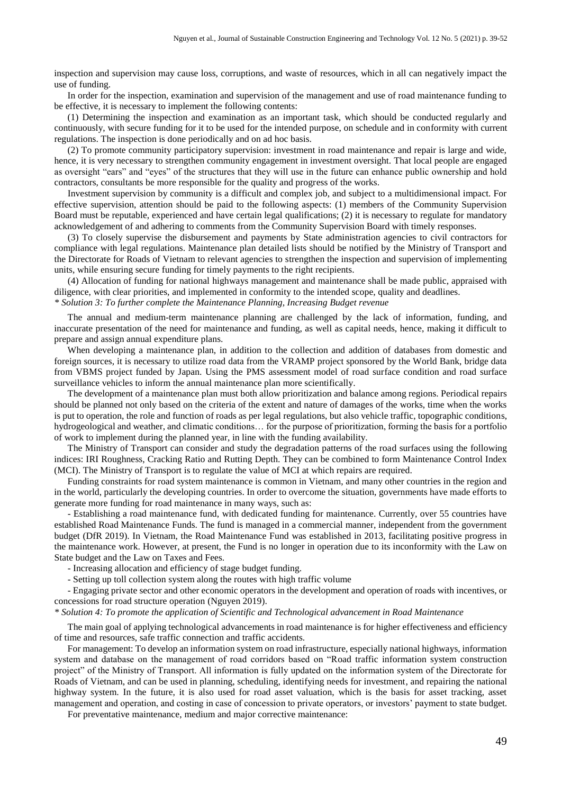inspection and supervision may cause loss, corruptions, and waste of resources, which in all can negatively impact the use of funding.

In order for the inspection, examination and supervision of the management and use of road maintenance funding to be effective, it is necessary to implement the following contents:

(1) Determining the inspection and examination as an important task, which should be conducted regularly and continuously, with secure funding for it to be used for the intended purpose, on schedule and in conformity with current regulations. The inspection is done periodically and on ad hoc basis.

(2) To promote community participatory supervision: investment in road maintenance and repair is large and wide, hence, it is very necessary to strengthen community engagement in investment oversight. That local people are engaged as oversight "ears" and "eyes" of the structures that they will use in the future can enhance public ownership and hold contractors, consultants be more responsible for the quality and progress of the works.

Investment supervision by community is a difficult and complex job, and subject to a multidimensional impact. For effective supervision, attention should be paid to the following aspects: (1) members of the Community Supervision Board must be reputable, experienced and have certain legal qualifications; (2) it is necessary to regulate for mandatory acknowledgement of and adhering to comments from the Community Supervision Board with timely responses.

(3) To closely supervise the disbursement and payments by State administration agencies to civil contractors for compliance with legal regulations. Maintenance plan detailed lists should be notified by the Ministry of Transport and the Directorate for Roads of Vietnam to relevant agencies to strengthen the inspection and supervision of implementing units, while ensuring secure funding for timely payments to the right recipients.

(4) Allocation of funding for national highways management and maintenance shall be made public, appraised with diligence, with clear priorities, and implemented in conformity to the intended scope, quality and deadlines.

#### *\* Solution 3: To further complete the Maintenance Planning, Increasing Budget revenue*

The annual and medium-term maintenance planning are challenged by the lack of information, funding, and inaccurate presentation of the need for maintenance and funding, as well as capital needs, hence, making it difficult to prepare and assign annual expenditure plans.

When developing a maintenance plan, in addition to the collection and addition of databases from domestic and foreign sources, it is necessary to utilize road data from the VRAMP project sponsored by the World Bank, bridge data from VBMS project funded by Japan. Using the PMS assessment model of road surface condition and road surface surveillance vehicles to inform the annual maintenance plan more scientifically.

The development of a maintenance plan must both allow prioritization and balance among regions. Periodical repairs should be planned not only based on the criteria of the extent and nature of damages of the works, time when the works is put to operation, the role and function of roads as per legal regulations, but also vehicle traffic, topographic conditions, hydrogeological and weather, and climatic conditions… for the purpose of prioritization, forming the basis for a portfolio of work to implement during the planned year, in line with the funding availability.

The Ministry of Transport can consider and study the degradation patterns of the road surfaces using the following indices: IRI Roughness, Cracking Ratio and Rutting Depth. They can be combined to form Maintenance Control Index (MCI). The Ministry of Transport is to regulate the value of MCI at which repairs are required.

Funding constraints for road system maintenance is common in Vietnam, and many other countries in the region and in the world, particularly the developing countries. In order to overcome the situation, governments have made efforts to generate more funding for road maintenance in many ways, such as:

- Establishing a road maintenance fund, with dedicated funding for maintenance. Currently, over 55 countries have established Road Maintenance Funds. The fund is managed in a commercial manner, independent from the government budget (DfR 2019). In Vietnam, the Road Maintenance Fund was established in 2013, facilitating positive progress in the maintenance work. However, at present, the Fund is no longer in operation due to its inconformity with the Law on State budget and the Law on Taxes and Fees.

- Increasing allocation and efficiency of stage budget funding.

- Setting up toll collection system along the routes with high traffic volume

- Engaging private sector and other economic operators in the development and operation of roads with incentives, or concessions for road structure operation (Nguyen 2019).

*\* Solution 4: To promote the application of Scientific and Technological advancement in Road Maintenance*

The main goal of applying technological advancements in road maintenance is for higher effectiveness and efficiency of time and resources, safe traffic connection and traffic accidents.

For management: To develop an information system on road infrastructure, especially national highways, information system and database on the management of road corridors based on "Road traffic information system construction project" of the Ministry of Transport. All information is fully updated on the information system of the Directorate for Roads of Vietnam, and can be used in planning, scheduling, identifying needs for investment, and repairing the national highway system. In the future, it is also used for road asset valuation, which is the basis for asset tracking, asset management and operation, and costing in case of concession to private operators, or investors' payment to state budget.

For preventative maintenance, medium and major corrective maintenance: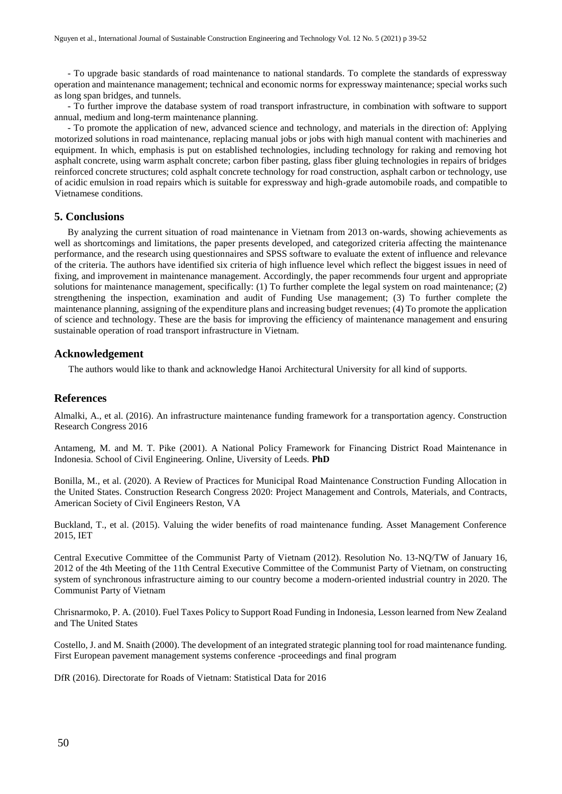- To upgrade basic standards of road maintenance to national standards. To complete the standards of expressway operation and maintenance management; technical and economic norms for expressway maintenance; special works such as long span bridges, and tunnels.

- To further improve the database system of road transport infrastructure, in combination with software to support annual, medium and long-term maintenance planning.

- To promote the application of new, advanced science and technology, and materials in the direction of: Applying motorized solutions in road maintenance, replacing manual jobs or jobs with high manual content with machineries and equipment. In which, emphasis is put on established technologies, including technology for raking and removing hot asphalt concrete, using warm asphalt concrete; carbon fiber pasting, glass fiber gluing technologies in repairs of bridges reinforced concrete structures; cold asphalt concrete technology for road construction, asphalt carbon or technology, use of acidic emulsion in road repairs which is suitable for expressway and high-grade automobile roads, and compatible to Vietnamese conditions.

## **5. Conclusions**

By analyzing the current situation of road maintenance in Vietnam from 2013 on-wards, showing achievements as well as shortcomings and limitations, the paper presents developed, and categorized criteria affecting the maintenance performance, and the research using questionnaires and SPSS software to evaluate the extent of influence and relevance of the criteria. The authors have identified six criteria of high influence level which reflect the biggest issues in need of fixing, and improvement in maintenance management. Accordingly, the paper recommends four urgent and appropriate solutions for maintenance management, specifically: (1) To further complete the legal system on road maintenance; (2) strengthening the inspection, examination and audit of Funding Use management; (3) To further complete the maintenance planning, assigning of the expenditure plans and increasing budget revenues; (4) To promote the application of science and technology. These are the basis for improving the efficiency of maintenance management and ensuring sustainable operation of road transport infrastructure in Vietnam.

## **Acknowledgement**

The authors would like to thank and acknowledge Hanoi Architectural University for all kind of supports.

## **References**

Almalki, A., et al. (2016). An infrastructure maintenance funding framework for a transportation agency. Construction Research Congress 2016

Antameng, M. and M. T. Pike (2001). A National Policy Framework for Financing District Road Maintenance in Indonesia. School of Civil Engineering. Online, Uiversity of Leeds. **PhD**

Bonilla, M., et al. (2020). A Review of Practices for Municipal Road Maintenance Construction Funding Allocation in the United States. Construction Research Congress 2020: Project Management and Controls, Materials, and Contracts, American Society of Civil Engineers Reston, VA

Buckland, T., et al. (2015). Valuing the wider benefits of road maintenance funding. Asset Management Conference 2015, IET

Central Executive Committee of the Communist Party of Vietnam (2012). Resolution No. 13-NQ/TW of January 16, 2012 of the 4th Meeting of the 11th Central Executive Committee of the Communist Party of Vietnam, on constructing system of synchronous infrastructure aiming to our country become a modern-oriented industrial country in 2020. The Communist Party of Vietnam

Chrisnarmoko, P. A. (2010). Fuel Taxes Policy to Support Road Funding in Indonesia, Lesson learned from New Zealand and The United States

Costello, J. and M. Snaith (2000). The development of an integrated strategic planning tool for road maintenance funding. First European pavement management systems conference -proceedings and final program

DfR (2016). Directorate for Roads of Vietnam: Statistical Data for 2016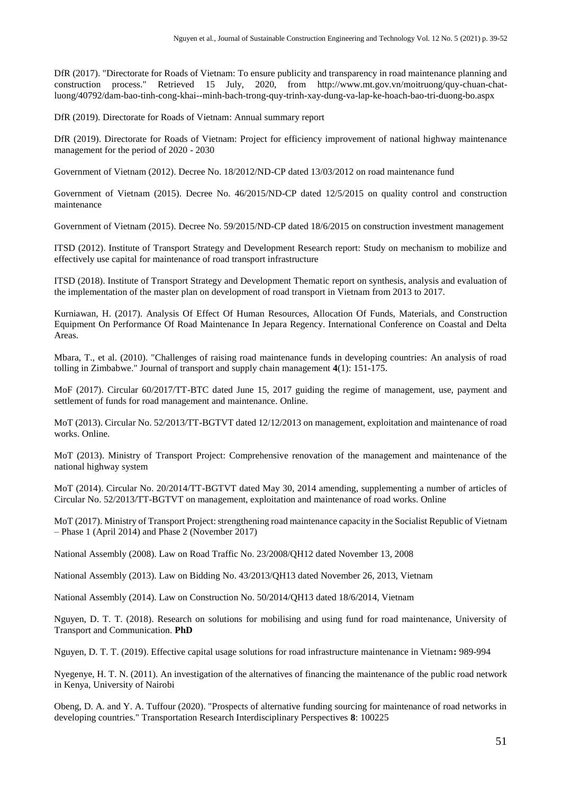DfR (2017). "Directorate for Roads of Vietnam: To ensure publicity and transparency in road maintenance planning and construction process." Retrieved 15 July, 2020, from [http://www.mt.gov.vn/moitruong/quy-chuan-chat](http://www.mt.gov.vn/moitruong/quy-chuan-chat-luong/40792/dam-bao-tinh-cong-khai--minh-bach-trong-quy-trinh-xay-dung-va-lap-ke-hoach-bao-tri-duong-bo.aspx)[luong/40792/dam-bao-tinh-cong-khai--minh-bach-trong-quy-trinh-xay-dung-va-lap-ke-hoach-bao-tri-duong-bo.aspx](http://www.mt.gov.vn/moitruong/quy-chuan-chat-luong/40792/dam-bao-tinh-cong-khai--minh-bach-trong-quy-trinh-xay-dung-va-lap-ke-hoach-bao-tri-duong-bo.aspx)

DfR (2019). Directorate for Roads of Vietnam: Annual summary report

DfR (2019). Directorate for Roads of Vietnam: Project for efficiency improvement of national highway maintenance management for the period of 2020 - 2030

Government of Vietnam (2012). Decree No. 18/2012/ND-CP dated 13/03/2012 on road maintenance fund

Government of Vietnam (2015). Decree No. 46/2015/ND-CP dated 12/5/2015 on quality control and construction maintenance

Government of Vietnam (2015). Decree No. 59/2015/ND-CP dated 18/6/2015 on construction investment management

ITSD (2012). Institute of Transport Strategy and Development Research report: Study on mechanism to mobilize and effectively use capital for maintenance of road transport infrastructure

ITSD (2018). Institute of Transport Strategy and Development Thematic report on synthesis, analysis and evaluation of the implementation of the master plan on development of road transport in Vietnam from 2013 to 2017.

Kurniawan, H. (2017). Analysis Of Effect Of Human Resources, Allocation Of Funds, Materials, and Construction Equipment On Performance Of Road Maintenance In Jepara Regency. International Conference on Coastal and Delta Areas.

Mbara, T., et al. (2010). "Challenges of raising road maintenance funds in developing countries: An analysis of road tolling in Zimbabwe." Journal of transport and supply chain management **4**(1): 151-175.

MoF (2017). Circular 60/2017/TT-BTC dated June 15, 2017 guiding the regime of management, use, payment and settlement of funds for road management and maintenance. Online.

MoT (2013). Circular No. 52/2013/TT-BGTVT dated 12/12/2013 on management, exploitation and maintenance of road works. Online.

MoT (2013). Ministry of Transport Project: Comprehensive renovation of the management and maintenance of the national highway system

MoT (2014). Circular No. 20/2014/TT-BGTVT dated May 30, 2014 amending, supplementing a number of articles of Circular No. 52/2013/TT-BGTVT on management, exploitation and maintenance of road works. Online

MoT (2017). Ministry of Transport Project: strengthening road maintenance capacity in the Socialist Republic of Vietnam – Phase 1 (April 2014) and Phase 2 (November 2017)

National Assembly (2008). Law on Road Traffic No. 23/2008/QH12 dated November 13, 2008

National Assembly (2013). Law on Bidding No. 43/2013/QH13 dated November 26, 2013, Vietnam

National Assembly (2014). Law on Construction No. 50/2014/QH13 dated 18/6/2014, Vietnam

Nguyen, D. T. T. (2018). Research on solutions for mobilising and using fund for road maintenance, University of Transport and Communication. **PhD**

Nguyen, D. T. T. (2019). Effective capital usage solutions for road infrastructure maintenance in Vietnam**:** 989-994

Nyegenye, H. T. N. (2011). An investigation of the alternatives of financing the maintenance of the public road network in Kenya, University of Nairobi

Obeng, D. A. and Y. A. Tuffour (2020). "Prospects of alternative funding sourcing for maintenance of road networks in developing countries." Transportation Research Interdisciplinary Perspectives **8**: 100225